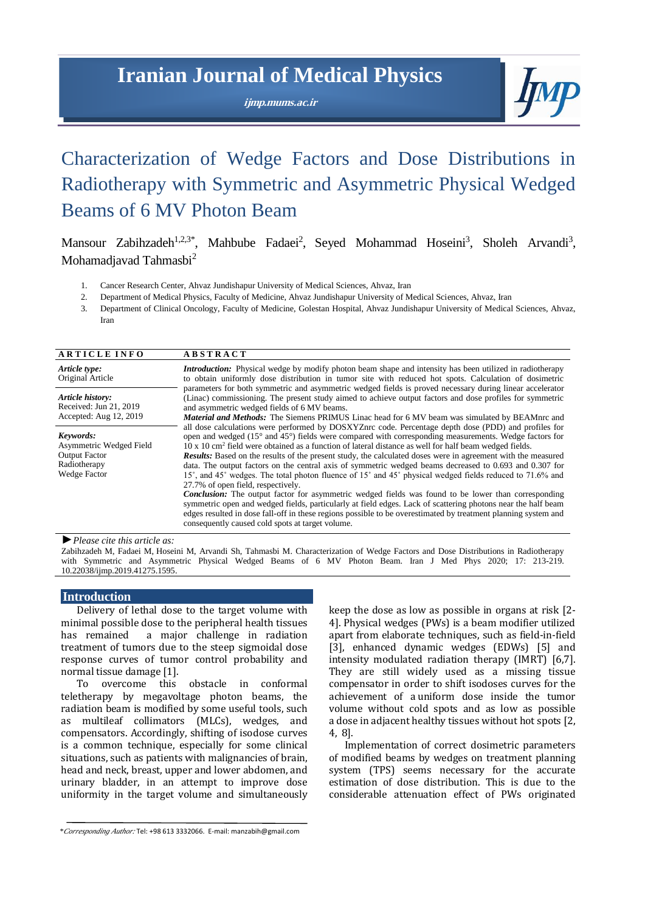# **Iranian Journal of Medical Physics**

**ijmp.mums.ac.ir**



# Characterization of Wedge Factors and Dose Distributions in Radiotherapy with Symmetric and Asymmetric Physical Wedged Beams of 6 MV Photon Beam

Mansour Zabihzadeh<sup>1,2,3\*</sup>, Mahbube Fadaei<sup>2</sup>, Seyed Mohammad Hoseini<sup>3</sup>, Sholeh Arvandi<sup>3</sup>, Mohamadjavad Tahmasbi<sup>2</sup>

- 1. Cancer Research Center, Ahvaz Jundishapur University of Medical Sciences, Ahvaz, Iran
- 2. Department of Medical Physics, Faculty of Medicine, Ahvaz Jundishapur University of Medical Sciences, Ahvaz, Iran
- 3. Department of Clinical Oncology, Faculty of Medicine, Golestan Hospital, Ahvaz Jundishapur University of Medical Sciences, Ahvaz, Iran

| <b>ARTICLE INFO</b>                                                                          | <b>ABSTRACT</b>                                                                                                                                                                                                                                                                                                                                                                                                                                                                                                                                                                                                                                                                                                                                                                                                                                                                                                                                                                                                                                                                                                             |  |
|----------------------------------------------------------------------------------------------|-----------------------------------------------------------------------------------------------------------------------------------------------------------------------------------------------------------------------------------------------------------------------------------------------------------------------------------------------------------------------------------------------------------------------------------------------------------------------------------------------------------------------------------------------------------------------------------------------------------------------------------------------------------------------------------------------------------------------------------------------------------------------------------------------------------------------------------------------------------------------------------------------------------------------------------------------------------------------------------------------------------------------------------------------------------------------------------------------------------------------------|--|
| Article type:<br>Original Article                                                            | <b>Introduction:</b> Physical wedge by modify photon beam shape and intensity has been utilized in radiotherapy<br>to obtain uniformly dose distribution in tumor site with reduced hot spots. Calculation of dosimetric                                                                                                                                                                                                                                                                                                                                                                                                                                                                                                                                                                                                                                                                                                                                                                                                                                                                                                    |  |
| Article history:<br>Received: Jun 21, 2019<br>Accepted: Aug 12, 2019                         | parameters for both symmetric and asymmetric wedged fields is proved necessary during linear accelerator<br>(Linac) commissioning. The present study aimed to achieve output factors and dose profiles for symmetric<br>and asymmetric wedged fields of 6 MV beams.<br><b>Material and Methods:</b> The Siemens PRIMUS Linac head for 6 MV beam was simulated by BEAMnrc and                                                                                                                                                                                                                                                                                                                                                                                                                                                                                                                                                                                                                                                                                                                                                |  |
| Keywords:<br>Asymmetric Wedged Field<br><b>Output Factor</b><br>Radiotherapy<br>Wedge Factor | all dose calculations were performed by DOSXYZnrc code. Percentage depth dose (PDD) and profiles for<br>open and wedged (15° and 45°) fields were compared with corresponding measurements. Wedge factors for<br>10 x 10 cm <sup>2</sup> field were obtained as a function of lateral distance as well for half beam wedged fields.<br><b>Results:</b> Based on the results of the present study, the calculated doses were in agreement with the measured<br>data. The output factors on the central axis of symmetric wedged beams decreased to 0.693 and 0.307 for<br>15°, and 45° wedges. The total photon fluence of 15° and 45° physical wedged fields reduced to 71.6% and<br>27.7% of open field, respectively.<br><b>Conclusion:</b> The output factor for asymmetric wedged fields was found to be lower than corresponding<br>symmetric open and wedged fields, particularly at field edges. Lack of scattering photons near the half beam<br>edges resulted in dose fall-off in these regions possible to be overestimated by treatment planning system and<br>consequently caused cold spots at target volume. |  |

*►Please cite this article as:*

Zabihzadeh M, Fadaei M, Hoseini M, Arvandi Sh, Tahmasbi M. Characterization of Wedge Factors and Dose Distributions in Radiotherapy with Symmetric and Asymmetric Physical Wedged Beams of 6 MV Photon Beam. Iran J Med Phys 2020; 17: 213-219. 10.22038/ijmp.2019.41275.1595.

#### **Introduction**

Delivery of lethal dose to the target volume with minimal possible dose to the peripheral health tissues has remained a major challenge in radiation treatment of tumors due to the steep sigmoidal dose response curves of tumor control probability and normal tissue damage [1].

To overcome this obstacle in conformal teletherapy by megavoltage photon beams, the radiation beam is modified by some useful tools, such as multileaf collimators (MLCs), wedges, and compensators. Accordingly, shifting of isodose curves is a common technique, especially for some clinical situations, such as patients with malignancies of brain, head and neck, breast, upper and lower abdomen, and urinary bladder, in an attempt to improve dose uniformity in the target volume and simultaneously keep the dose as low as possible in organs at risk [2- 4]. Physical wedges (PWs) is a beam modifier utilized apart from elaborate techniques, such as field-in-field [3], enhanced dynamic wedges (EDWs) [5] and intensity modulated radiation therapy (IMRT) [6,7]. They are still widely used as a missing tissue compensator in order to shift isodoses curves for the achievement of a uniform dose inside the tumor volume without cold spots and as low as possible a dose in adjacent healthy tissues without hot spots [2, 4, 8].

Implementation of correct dosimetric parameters of modified beams by wedges on treatment planning system (TPS) seems necessary for the accurate estimation of dose distribution. This is due to the considerable attenuation effect of PWs originated

*<sup>\*</sup>Corresponding Author:* Tel: +98 613 3332066. E-mail[: manzabih@gmail.com](mailto:manzabih@gmail.com)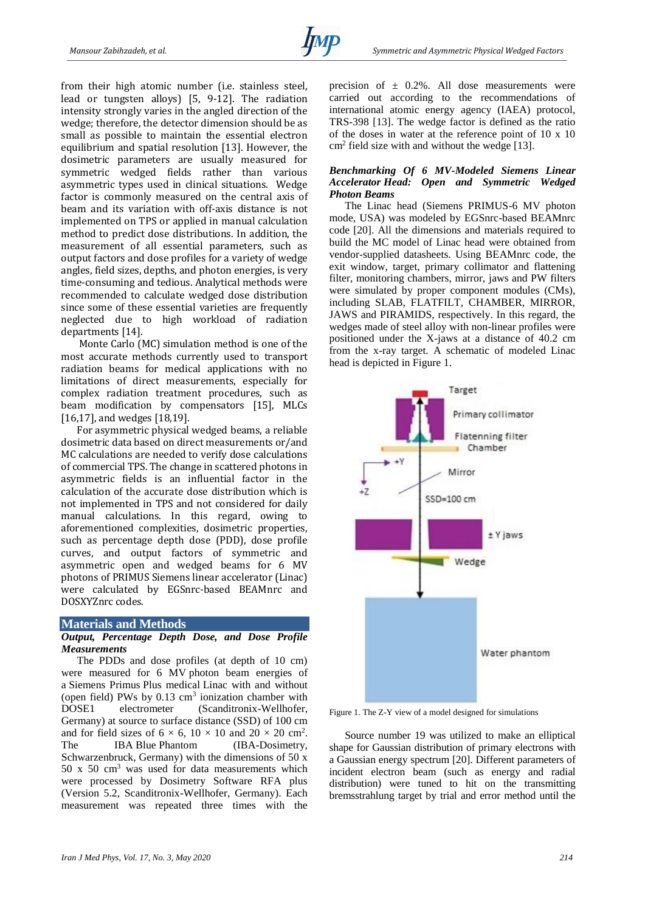from their high atomic number (i.e. stainless steel, lead or tungsten alloys) [5, 9-12]. The radiation intensity strongly varies in the angled direction of the wedge; therefore, the detector dimension should be as small as possible to maintain the essential electron equilibrium and spatial resolution [13]. However, the dosimetric parameters are usually measured for symmetric wedged fields rather than various asymmetric types used in clinical situations. Wedge factor is commonly measured on the central axis of beam and its variation with off-axis distance is not implemented on TPS or applied in manual calculation method to predict dose distributions. In addition, the measurement of all essential parameters, such as output factors and dose profiles for a variety of wedge angles, field sizes, depths, and photon energies, is very time-consuming and tedious. Analytical methods were recommended to calculate wedged dose distribution since some of these essential varieties are frequently neglected due to high workload of radiation departments [14].

Monte Carlo (MC) simulation method is one of the most accurate methods currently used to transport radiation beams for medical applications with no limitations of direct measurements, especially for complex radiation treatment procedures, such as beam modification by compensators [15], MLCs [16,17], and wedges [18,19].

For asymmetric physical wedged beams, a reliable dosimetric data based on direct measurements or/and MC calculations are needed to verify dose calculations of commercial TPS. The change in scattered photons in asymmetric fields is an influential factor in the calculation of the accurate dose distribution which is not implemented in TPS and not considered for daily manual calculations. In this regard, owing to aforementioned complexities, dosimetric properties, such as percentage depth dose (PDD), dose profile curves, and output factors of symmetric and asymmetric open and wedged beams for 6 MV photons of PRIMUS Siemens linear accelerator (Linac) were calculated by EGSnrc-based BEAMnrc and DOSXYZnrc codes.

## **Materials and Methods**

# *Output, Percentage Depth Dose, and Dose Profile Measurements*

The PDDs and dose profiles (at depth of 10 cm) were measured for 6 MV photon beam energies of a Siemens Primus Plus medical Linac with and without (open field) PWs by  $0.13 \text{ cm}^3$  ionization chamber with DOSE1 electrometer (Scanditronix-Wellhofer, Germany) at source to surface distance (SSD) of 100 cm and for field sizes of  $6 \times 6$ ,  $10 \times 10$  and  $20 \times 20$  cm<sup>2</sup>. The IBA Blue Phantom (IBA-Dosimetry, Schwarzenbruck, Germany) with the dimensions of  $50 \text{ x}$ 50 x 50 cm<sup>3</sup> was used for data measurements which were processed by Dosimetry Software RFA plus (Version 5.2, Scanditronix-Wellhofer, Germany). Each measurement was repeated three times with the

precision of  $\pm$  0.2%. All dose measurements were carried out according to the recommendations of international atomic energy agency (IAEA) protocol, TRS-398 [13]. The wedge factor is defined as the ratio of the doses in water at the reference point of 10 x 10 cm<sup>2</sup> field size with and without the wedge [13].

## *Benchmarking Of 6 MV-Modeled Siemens Linear Accelerator Head: Open and Symmetric Wedged Photon Beams*

The Linac head (Siemens PRIMUS-6 MV photon mode, USA) was modeled by EGSnrc-based BEAMnrc code [20]. All the dimensions and materials required to build the MC model of Linac head were obtained from vendor-supplied datasheets. Using BEAMnrc code, the exit window, target, primary collimator and flattening filter, monitoring chambers, mirror, jaws and PW filters were simulated by proper component modules (CMs), including SLAB, FLATFILT, CHAMBER, MIRROR, JAWS and PIRAMIDS, respectively. In this regard, the wedges made of steel alloy with non-linear profiles were positioned under the X-jaws at a distance of 40.2 cm from the x-ray target. A schematic of modeled Linac head is depicted in Figure 1.



Figure 1. The Z-Y view of a model designed for simulations

Source number 19 was utilized to make an elliptical shape for Gaussian distribution of primary electrons with a Gaussian energy spectrum [20]. Different parameters of incident electron beam (such as energy and radial distribution) were tuned to hit on the transmitting bremsstrahlung target by trial and error method until the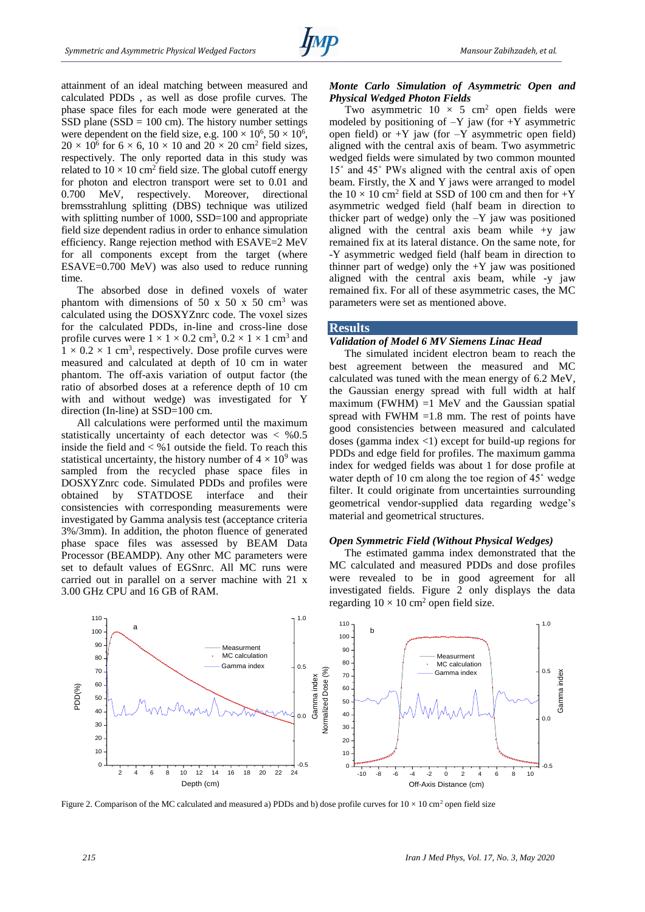attainment of an ideal matching between measured and calculated PDDs , as well as dose profile curves. The phase space files for each mode were generated at the SSD plane (SSD  $= 100$  cm). The history number settings were dependent on the field size, e.g.  $100 \times 10^6$ ,  $50 \times 10^6$ ,  $20 \times 10^6$  for 6  $\times$  6, 10  $\times$  10 and 20  $\times$  20 cm<sup>2</sup> field sizes, respectively. The only reported data in this study was related to  $10 \times 10$  cm<sup>2</sup> field size. The global cutoff energy for photon and electron transport were set to 0.01 and 0.700 MeV, respectively. Moreover, directional bremsstrahlung splitting (DBS) technique was utilized with splitting number of 1000, SSD=100 and appropriate field size dependent radius in order to enhance simulation efficiency. Range rejection method with ESAVE=2 MeV for all components except from the target (where ESAVE=0.700 MeV) was also used to reduce running time.

The absorbed dose in defined voxels of water phantom with dimensions of 50 x 50 x 50 cm<sup>3</sup> was calculated using the DOSXYZnrc code. The voxel sizes for the calculated PDDs, in-line and cross-line dose profile curves were  $1 \times 1 \times 0.2$  cm<sup>3</sup>,  $0.2 \times 1 \times 1$  cm<sup>3</sup> and  $1 \times 0.2 \times 1$  cm<sup>3</sup>, respectively. Dose profile curves were measured and calculated at depth of 10 cm in water phantom. The off-axis variation of output factor (the ratio of absorbed doses at a reference depth of 10 cm with and without wedge) was investigated for Y direction (In-line) at SSD=100 cm.

All calculations were performed until the maximum statistically uncertainty of each detector was  $\lt$  %0.5 inside the field and  $\lt$  %1 outside the field. To reach this statistical uncertainty, the history number of  $4 \times 10^9$  was sampled from the recycled phase space files in DOSXYZnrc code. Simulated PDDs and profiles were obtained by STATDOSE interface and their consistencies with corresponding measurements were investigated by Gamma analysis test (acceptance criteria 3%/3mm). In addition, the photon fluence of generated phase space files was assessed by BEAM Data Processor (BEAMDP). Any other MC parameters were set to default values of EGSnrc. All MC runs were carried out in parallel on a server machine with 21 x 3.00 GHz CPU and 16 GB of RAM.

## *Monte Carlo Simulation of Asymmetric Open and Physical Wedged Photon Fields*

Two asymmetric  $10 \times 5$  cm<sup>2</sup> open fields were modeled by positioning of  $-Y$  jaw (for  $+Y$  asymmetric open field) or  $+Y$  jaw (for  $-Y$  asymmetric open field) aligned with the central axis of beam. Two asymmetric wedged fields were simulated by two common mounted 15˚ and 45˚ PWs aligned with the central axis of open beam. Firstly, the X and Y jaws were arranged to model the  $10 \times 10$  cm<sup>2</sup> field at SSD of 100 cm and then for  $+Y$ asymmetric wedged field (half beam in direction to thicker part of wedge) only the  $-Y$  jaw was positioned aligned with the central axis beam while +y jaw remained fix at its lateral distance. On the same note, for -Y asymmetric wedged field (half beam in direction to thinner part of wedge) only the  $+Y$  jaw was positioned aligned with the central axis beam, while -y jaw remained fix. For all of these asymmetric cases, the MC parameters were set as mentioned above.

## **Results**

## *Validation of Model 6 MV Siemens Linac Head*

The simulated incident electron beam to reach the best agreement between the measured and MC calculated was tuned with the mean energy of 6.2 MeV, the Gaussian energy spread with full width at half maximum (FWHM)  $=1$  MeV and the Gaussian spatial spread with FWHM  $=1.8$  mm. The rest of points have good consistencies between measured and calculated doses (gamma index  $\langle 1 \rangle$  except for build-up regions for PDDs and edge field for profiles. The maximum gamma index for wedged fields was about 1 for dose profile at water depth of 10 cm along the toe region of 45˚ wedge filter. It could originate from uncertainties surrounding geometrical vendor-supplied data regarding wedge's material and geometrical structures.

#### *Open Symmetric Field (Without Physical Wedges)*

The estimated gamma index demonstrated that the MC calculated and measured PDDs and dose profiles were revealed to be in good agreement for all investigated fields. Figure 2 only displays the data regarding  $10 \times 10$  cm<sup>2</sup> open field size.



Figure 2. Comparison of the MC calculated and measured a) PDDs and b) dose profile curves for  $10 \times 10 \text{ cm}^2$  open field size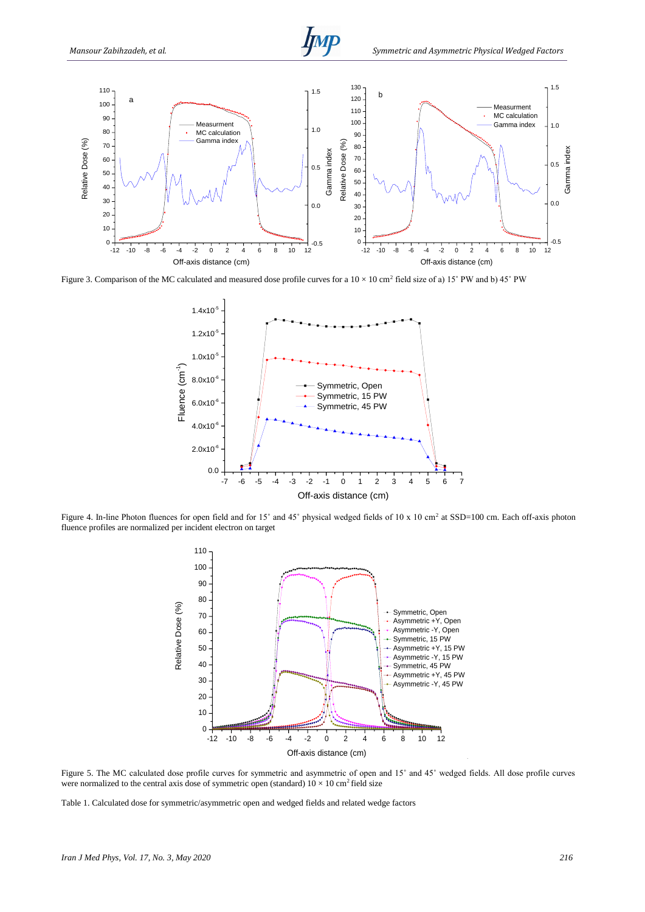

Figure 3. Comparison of the MC calculated and measured dose profile curves for a  $10 \times 10$  cm<sup>2</sup> field size of a) 15° PW and b) 45° PW



Figure 4. In-line Photon fluences for open field and for 15 $^{\circ}$  and 45 $^{\circ}$  physical wedged fields of 10 x 10 cm<sup>2</sup> at SSD=100 cm. Each off-axis photon fluence profiles are normalized per incident electron on target



Figure 5. The MC calculated dose profile curves for symmetric and asymmetric of open and 15˚ and 45˚ wedged fields. All dose profile curves were normalized to the central axis dose of symmetric open (standard)  $10 \times 10$  cm<sup>2</sup> field size

Table 1. Calculated dose for symmetric/asymmetric open and wedged fields and related wedge factors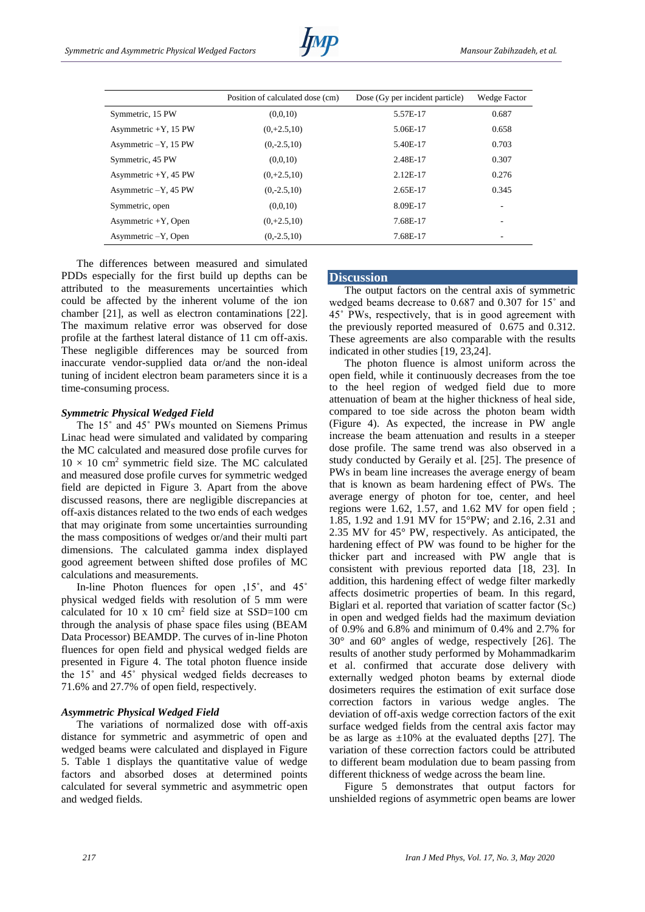|                         | Position of calculated dose (cm) | Dose (Gy per incident particle) | Wedge Factor |
|-------------------------|----------------------------------|---------------------------------|--------------|
| Symmetric, 15 PW        | (0,0,10)                         | 5.57E-17                        | 0.687        |
| Asymmetric $+Y$ , 15 PW | $(0, +2.5, 10)$                  | 5.06E-17                        | 0.658        |
| Asymmetric -Y, 15 PW    | $(0,-2.5,10)$                    | 5.40E-17                        | 0.703        |
| Symmetric, 45 PW        | (0,0,10)                         | 2.48E-17                        | 0.307        |
| Asymmetric $+Y$ , 45 PW | $(0, +2.5, 10)$                  | $2.12E-17$                      | 0.276        |
| Asymmetric -Y, 45 PW    | $(0,-2.5,10)$                    | 2.65E-17                        | 0.345        |
| Symmetric, open         | (0,0,10)                         | 8.09E-17                        | ۰            |
| Asymmetric $+Y$ , Open  | $(0, +2.5, 10)$                  | 7.68E-17                        | ۰            |
| Asymmetric -Y, Open     | $(0,-2.5,10)$                    | 7.68E-17                        |              |

The differences between measured and simulated PDDs especially for the first build up depths can be attributed to the measurements uncertainties which could be affected by the inherent volume of the ion chamber [21], as well as electron contaminations [22]. The maximum relative error was observed for dose profile at the farthest lateral distance of 11 cm off-axis. These negligible differences may be sourced from inaccurate vendor-supplied data or/and the non-ideal tuning of incident electron beam parameters since it is a time-consuming process.

## *Symmetric Physical Wedged Field*

The 15° and 45° PWs mounted on Siemens Primus Linac head were simulated and validated by comparing the MC calculated and measured dose profile curves for  $10 \times 10$  cm<sup>2</sup> symmetric field size. The MC calculated and measured dose profile curves for symmetric wedged field are depicted in Figure 3. Apart from the above discussed reasons, there are negligible discrepancies at off-axis distances related to the two ends of each wedges that may originate from some uncertainties surrounding the mass compositions of wedges or/and their multi part dimensions. The calculated gamma index displayed good agreement between shifted dose profiles of MC calculations and measurements.

In-line Photon fluences for open ,15˚, and 45˚ physical wedged fields with resolution of 5 mm were calculated for 10 x 10  $\text{cm}^2$  field size at SSD=100  $\text{cm}$ through the analysis of phase space files using (BEAM Data Processor) BEAMDP. The curves of in-line Photon fluences for open field and physical wedged fields are presented in Figure 4. The total photon fluence inside the 15˚ and 45˚ physical wedged fields decreases to 71.6% and 27.7% of open field, respectively.

## *Asymmetric Physical Wedged Field*

The variations of normalized dose with off-axis distance for symmetric and asymmetric of open and wedged beams were calculated and displayed in Figure 5. Table 1 displays the quantitative value of wedge factors and absorbed doses at determined points calculated for several symmetric and asymmetric open and wedged fields.

## **Discussion**

The output factors on the central axis of symmetric wedged beams decrease to 0.687 and 0.307 for 15˚ and 45˚ PWs, respectively, that is in good agreement with the previously reported measured of 0.675 and 0.312. These agreements are also comparable with the results indicated in other studies [19, 23,24].

The photon fluence is almost uniform across the open field, while it continuously decreases from the toe to the heel region of wedged field due to more attenuation of beam at the higher thickness of heal side, compared to toe side across the photon beam width (Figure 4). As expected, the increase in PW angle increase the beam attenuation and results in a steeper dose profile. The same trend was also observed in a study conducted by Geraily et al. [25]. The presence of PWs in beam line increases the average energy of beam that is known as beam hardening effect of PWs. The average energy of photon for toe, center, and heel regions were 1.62, 1.57, and 1.62 MV for open field ; 1.85, 1.92 and 1.91 MV for 15°PW; and 2.16, 2.31 and 2.35 MV for 45° PW, respectively. As anticipated, the hardening effect of PW was found to be higher for the thicker part and increased with PW angle that is consistent with previous reported data [18, 23]. In addition, this hardening effect of wedge filter markedly affects dosimetric properties of beam. In this regard, Biglari et al. reported that variation of scatter factor  $(S_C)$ in open and wedged fields had the maximum deviation of 0.9% and 6.8% and minimum of 0.4% and 2.7% for 30° and 60° angles of wedge, respectively [26]. The results of another study performed by Mohammadkarim et al. confirmed that accurate dose delivery with externally wedged photon beams by external diode dosimeters requires the estimation of exit surface dose correction factors in various wedge angles. The deviation of off-axis wedge correction factors of the exit surface wedged fields from the central axis factor may be as large as  $\pm 10\%$  at the evaluated depths [27]. The variation of these correction factors could be attributed to different beam modulation due to beam passing from different thickness of wedge across the beam line.

Figure 5 demonstrates that output factors for unshielded regions of asymmetric open beams are lower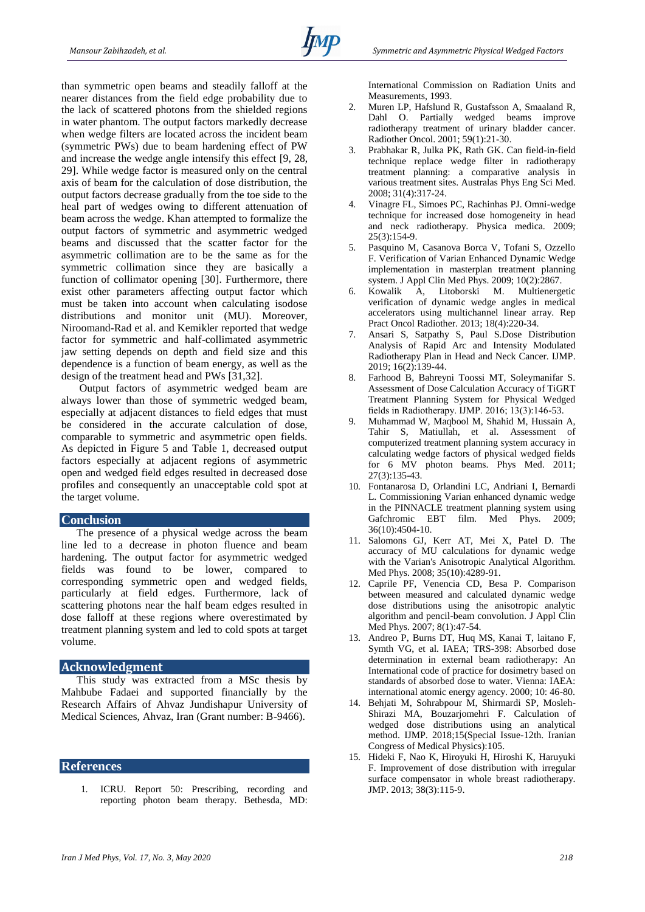than symmetric open beams and steadily falloff at the nearer distances from the field edge probability due to the lack of scattered photons from the shielded regions in water phantom. The output factors markedly decrease when wedge filters are located across the incident beam (symmetric PWs) due to beam hardening effect of PW and increase the wedge angle intensify this effect [9, 28, 29]. While wedge factor is measured only on the central axis of beam for the calculation of dose distribution, the output factors decrease gradually from the toe side to the heal part of wedges owing to different attenuation of beam across the wedge. Khan attempted to formalize the output factors of symmetric and asymmetric wedged beams and discussed that the scatter factor for the asymmetric collimation are to be the same as for the symmetric collimation since they are basically a function of collimator opening [30]. Furthermore, there exist other parameters affecting output factor which must be taken into account when calculating isodose distributions and monitor unit (MU). Moreover, Niroomand-Rad et al. and Kemikler reported that wedge factor for symmetric and half-collimated asymmetric jaw setting depends on depth and field size and this dependence is a function of beam energy, as well as the design of the treatment head and PWs [31,32].

Output factors of asymmetric wedged beam are always lower than those of symmetric wedged beam, especially at adjacent distances to field edges that must be considered in the accurate calculation of dose, comparable to symmetric and asymmetric open fields. As depicted in Figure 5 and Table 1, decreased output factors especially at adjacent regions of asymmetric open and wedged field edges resulted in decreased dose profiles and consequently an unacceptable cold spot at the target volume.

## **Conclusion**

The presence of a physical wedge across the beam line led to a decrease in photon fluence and beam hardening. The output factor for asymmetric wedged fields was found to be lower, compared to corresponding symmetric open and wedged fields, particularly at field edges. Furthermore, lack of scattering photons near the half beam edges resulted in dose falloff at these regions where overestimated by treatment planning system and led to cold spots at target volume.

# **Acknowledgment**

This study was extracted from a MSc thesis by Mahbube Fadaei and supported financially by the Research Affairs of Ahvaz Jundishapur University of Medical Sciences, Ahvaz, Iran (Grant number: B-9466).

## **References**

1. ICRU. Report 50: Prescribing, recording and reporting photon beam therapy. Bethesda, MD: International Commission on Radiation Units and Measurements, 1993.

- 2. Muren LP, Hafslund R, Gustafsson A, Smaaland R, Dahl O. Partially wedged beams improve radiotherapy treatment of urinary bladder cancer. Radiother Oncol. 2001; 59(1):21-30.
- 3. Prabhakar R, Julka PK, Rath GK. Can field-in-field technique replace wedge filter in radiotherapy treatment planning: a comparative analysis in various treatment sites. Australas Phys Eng Sci Med. 2008; 31(4):317-24.
- 4. Vinagre FL, Simoes PC, Rachinhas PJ. Omni-wedge technique for increased dose homogeneity in head and neck radiotherapy. Physica medica. 2009; 25(3):154-9.
- 5. Pasquino M, Casanova Borca V, Tofani S, Ozzello F. Verification of Varian Enhanced Dynamic Wedge implementation in masterplan treatment planning system. J Appl Clin Med Phys. 2009; 10(2):2867.
- 6. Kowalik A, Litoborski M. Multienergetic verification of dynamic wedge angles in medical accelerators using multichannel linear array. Rep Pract Oncol Radiother. 2013; 18(4):220-34.
- 7. Ansari S, Satpathy S, Paul S.Dose Distribution Analysis of Rapid Arc and Intensity Modulated Radiotherapy Plan in Head and Neck Cancer. IJMP. 2019; 16(2):139-44.
- 8. Farhood B, Bahreyni Toossi MT, Soleymanifar S. Assessment of Dose Calculation Accuracy of TiGRT Treatment Planning System for Physical Wedged fields in Radiotherapy. IJMP. 2016; 13(3):146-53.
- 9. Muhammad W, Maqbool M, Shahid M, Hussain A, Tahir S, Matiullah, et al. Assessment of computerized treatment planning system accuracy in calculating wedge factors of physical wedged fields for 6 MV photon beams. Phys Med. 2011; 27(3):135-43.
- 10. Fontanarosa D, Orlandini LC, Andriani I, Bernardi L. Commissioning Varian enhanced dynamic wedge in the PINNACLE treatment planning system using Gafchromic EBT film. Med Phys. 2009; 36(10):4504-10.
- 11. Salomons GJ, Kerr AT, Mei X, Patel D. The accuracy of MU calculations for dynamic wedge with the Varian's Anisotropic Analytical Algorithm. Med Phys. 2008; 35(10):4289-91.
- 12. Caprile PF, Venencia CD, Besa P. Comparison between measured and calculated dynamic wedge dose distributions using the anisotropic analytic algorithm and pencil-beam convolution. J Appl Clin Med Phys. 2007; 8(1):47-54.
- 13. Andreo P, Burns DT, Huq MS, Kanai T, laitano F, Symth VG, et al. IAEA; TRS-398: Absorbed dose determination in external beam radiotherapy: An International code of practice for dosimetry based on standards of absorbed dose to water. Vienna: IAEA: international atomic energy agency. 2000; 10: 46-80.
- 14. Behjati M, Sohrabpour M, Shirmardi SP, Mosleh-Shirazi MA, Bouzarjomehri F. Calculation of wedged dose distributions using an analytical method. IJMP. 2018;15(Special Issue-12th. Iranian Congress of Medical Physics):105.
- 15. Hideki F, Nao K, Hiroyuki H, Hiroshi K, Haruyuki F. Improvement of dose distribution with irregular surface compensator in whole breast radiotherapy. JMP. 2013; 38(3):115-9.